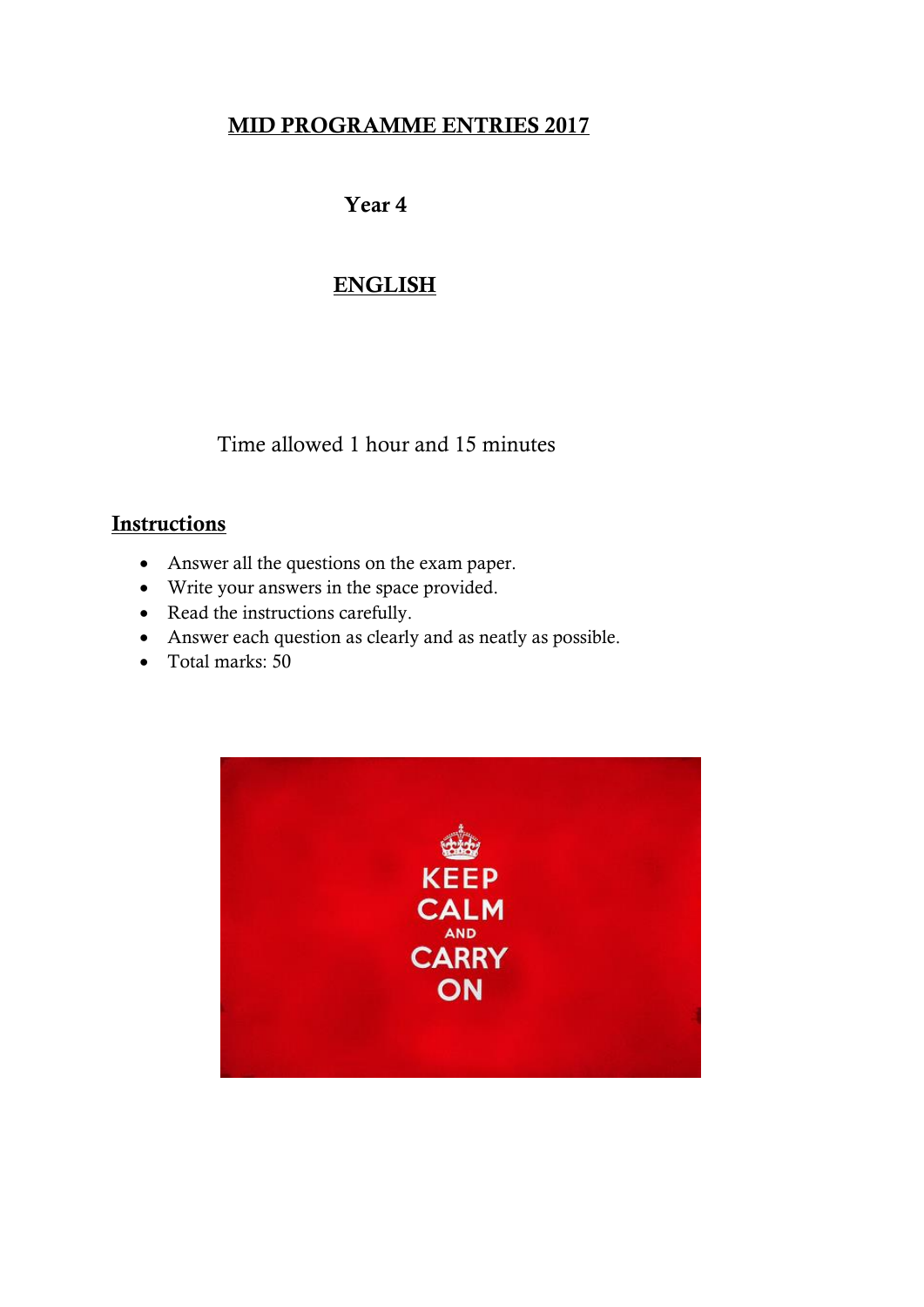# MID PROGRAMME ENTRIES 2017

## Year 4

## **ENGLISH**

Time allowed 1 hour and 15 minutes

## **Instructions**

- Answer all the questions on the exam paper.
- Write your answers in the space provided.
- Read the instructions carefully.
- Answer each question as clearly and as neatly as possible.
- Total marks: 50

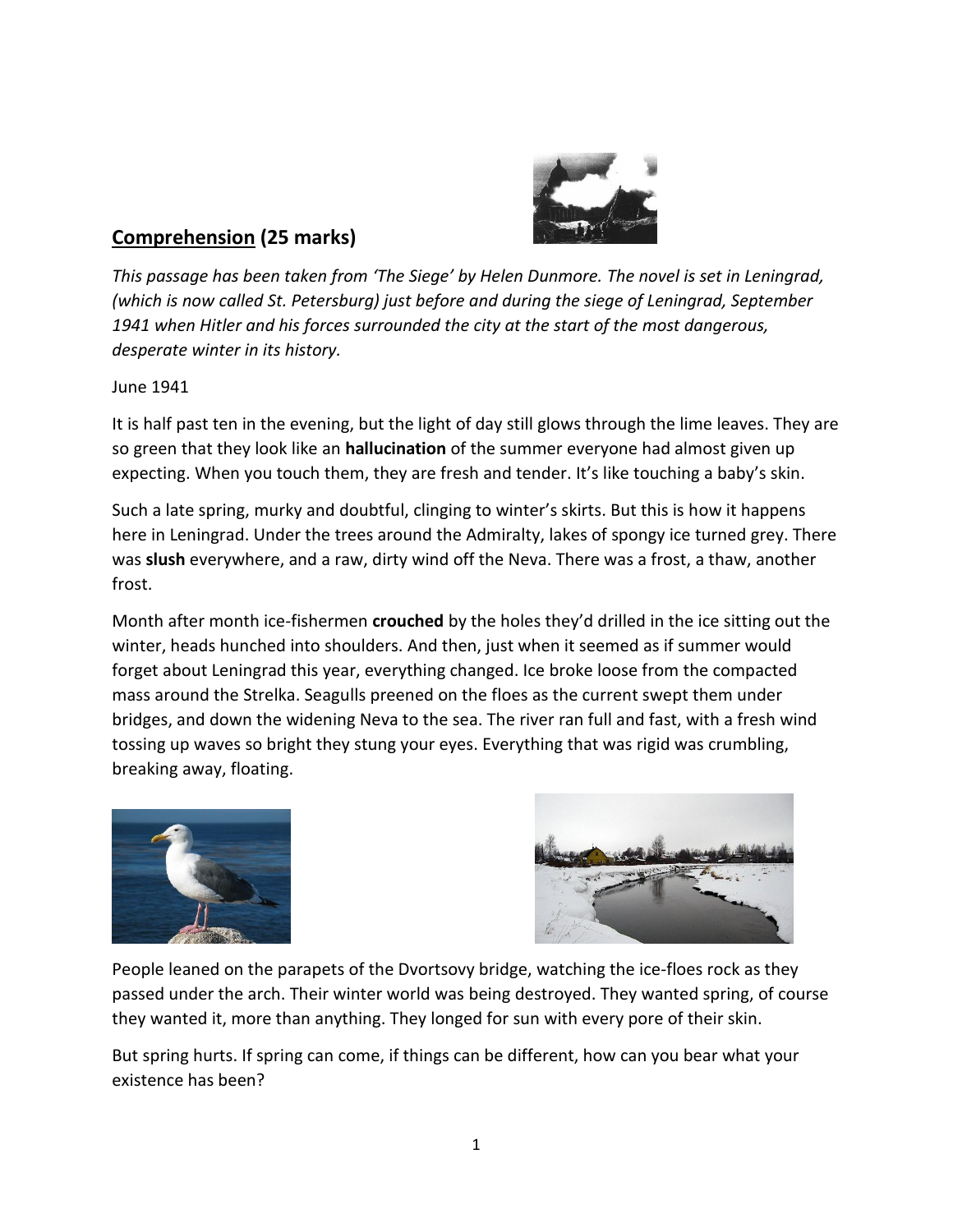

## **Comprehension (25 marks)**

*This passage has been taken from 'The Siege' by Helen Dunmore. The novel is set in Leningrad, (which is now called St. Petersburg) just before and during the siege of Leningrad, September 1941 when Hitler and his forces surrounded the city at the start of the most dangerous, desperate winter in its history.*

#### June 1941

It is half past ten in the evening, but the light of day still glows through the lime leaves. They are so green that they look like an **hallucination** of the summer everyone had almost given up expecting. When you touch them, they are fresh and tender. It's like touching a baby's skin.

Such a late spring, murky and doubtful, clinging to winter's skirts. But this is how it happens here in Leningrad. Under the trees around the Admiralty, lakes of spongy ice turned grey. There was **slush** everywhere, and a raw, dirty wind off the Neva. There was a frost, a thaw, another frost.

Month after month ice-fishermen **crouched** by the holes they'd drilled in the ice sitting out the winter, heads hunched into shoulders. And then, just when it seemed as if summer would forget about Leningrad this year, everything changed. Ice broke loose from the compacted mass around the Strelka. Seagulls preened on the floes as the current swept them under bridges, and down the widening Neva to the sea. The river ran full and fast, with a fresh wind tossing up waves so bright they stung your eyes. Everything that was rigid was crumbling, breaking away, floating.





People leaned on the parapets of the Dvortsovy bridge, watching the ice-floes rock as they passed under the arch. Their winter world was being destroyed. They wanted spring, of course they wanted it, more than anything. They longed for sun with every pore of their skin.

But spring hurts. If spring can come, if things can be different, how can you bear what your existence has been?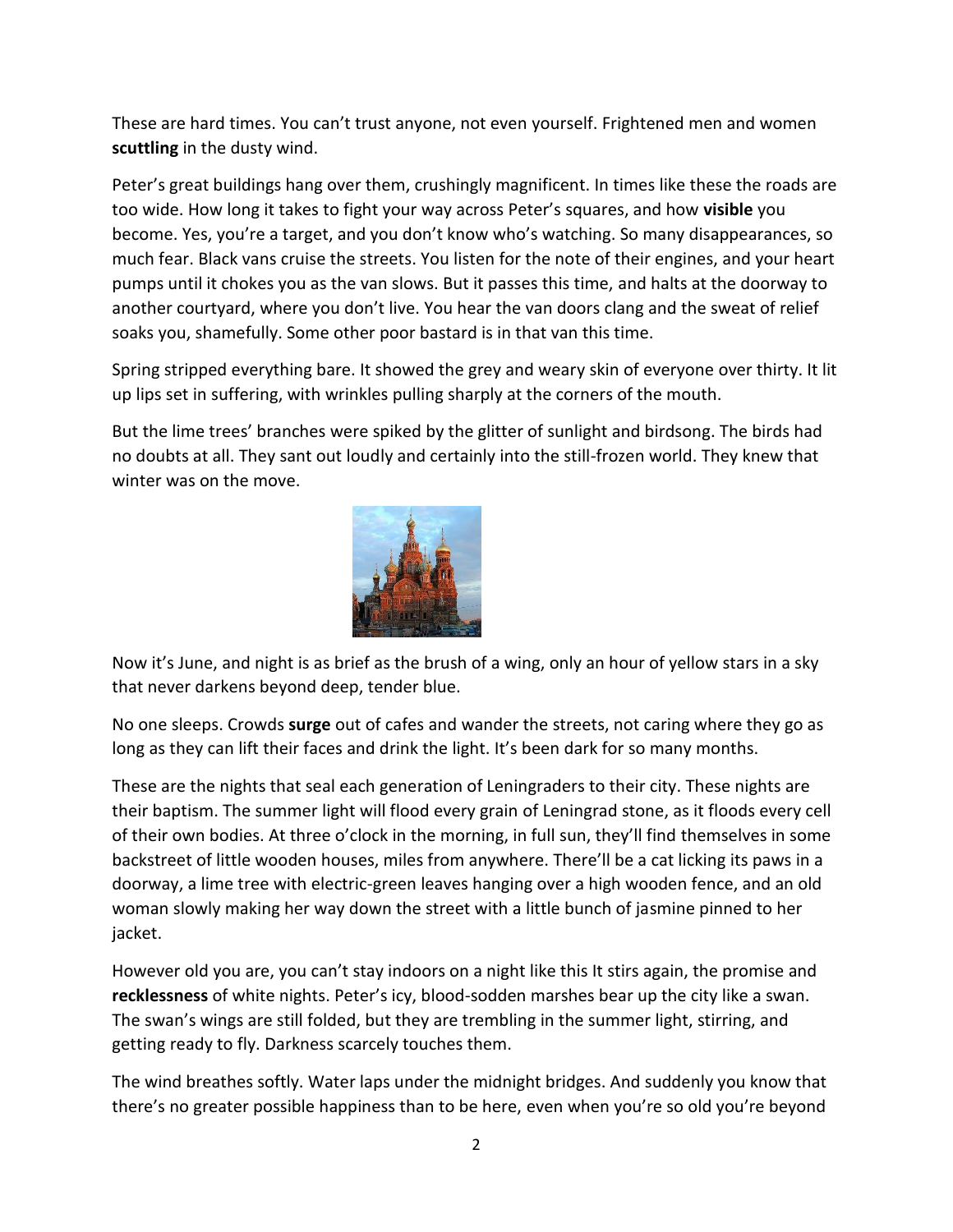These are hard times. You can't trust anyone, not even yourself. Frightened men and women **scuttling** in the dusty wind.

Peter's great buildings hang over them, crushingly magnificent. In times like these the roads are too wide. How long it takes to fight your way across Peter's squares, and how **visible** you become. Yes, you're a target, and you don't know who's watching. So many disappearances, so much fear. Black vans cruise the streets. You listen for the note of their engines, and your heart pumps until it chokes you as the van slows. But it passes this time, and halts at the doorway to another courtyard, where you don't live. You hear the van doors clang and the sweat of relief soaks you, shamefully. Some other poor bastard is in that van this time.

Spring stripped everything bare. It showed the grey and weary skin of everyone over thirty. It lit up lips set in suffering, with wrinkles pulling sharply at the corners of the mouth.

But the lime trees' branches were spiked by the glitter of sunlight and birdsong. The birds had no doubts at all. They sant out loudly and certainly into the still-frozen world. They knew that winter was on the move.



Now it's June, and night is as brief as the brush of a wing, only an hour of yellow stars in a sky that never darkens beyond deep, tender blue.

No one sleeps. Crowds **surge** out of cafes and wander the streets, not caring where they go as long as they can lift their faces and drink the light. It's been dark for so many months.

These are the nights that seal each generation of Leningraders to their city. These nights are their baptism. The summer light will flood every grain of Leningrad stone, as it floods every cell of their own bodies. At three o'clock in the morning, in full sun, they'll find themselves in some backstreet of little wooden houses, miles from anywhere. There'll be a cat licking its paws in a doorway, a lime tree with electric-green leaves hanging over a high wooden fence, and an old woman slowly making her way down the street with a little bunch of jasmine pinned to her jacket.

However old you are, you can't stay indoors on a night like this It stirs again, the promise and **recklessness** of white nights. Peter's icy, blood-sodden marshes bear up the city like a swan. The swan's wings are still folded, but they are trembling in the summer light, stirring, and getting ready to fly. Darkness scarcely touches them.

The wind breathes softly. Water laps under the midnight bridges. And suddenly you know that there's no greater possible happiness than to be here, even when you're so old you're beyond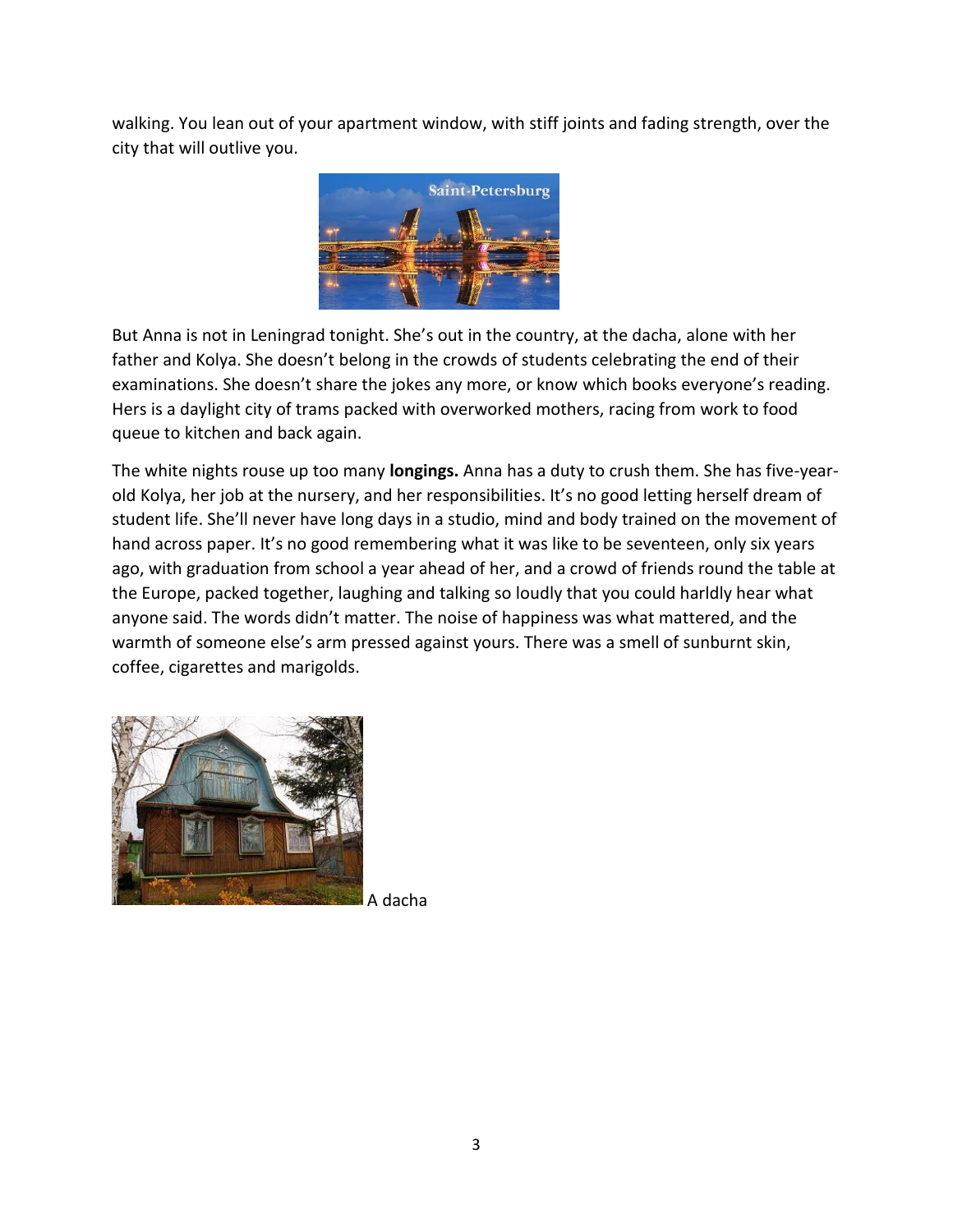walking. You lean out of your apartment window, with stiff joints and fading strength, over the city that will outlive you.



But Anna is not in Leningrad tonight. She's out in the country, at the dacha, alone with her father and Kolya. She doesn't belong in the crowds of students celebrating the end of their examinations. She doesn't share the jokes any more, or know which books everyone's reading. Hers is a daylight city of trams packed with overworked mothers, racing from work to food queue to kitchen and back again.

The white nights rouse up too many **longings.** Anna has a duty to crush them. She has five-yearold Kolya, her job at the nursery, and her responsibilities. It's no good letting herself dream of student life. She'll never have long days in a studio, mind and body trained on the movement of hand across paper. It's no good remembering what it was like to be seventeen, only six years ago, with graduation from school a year ahead of her, and a crowd of friends round the table at the Europe, packed together, laughing and talking so loudly that you could harldly hear what anyone said. The words didn't matter. The noise of happiness was what mattered, and the warmth of someone else's arm pressed against yours. There was a smell of sunburnt skin, coffee, cigarettes and marigolds.



A dacha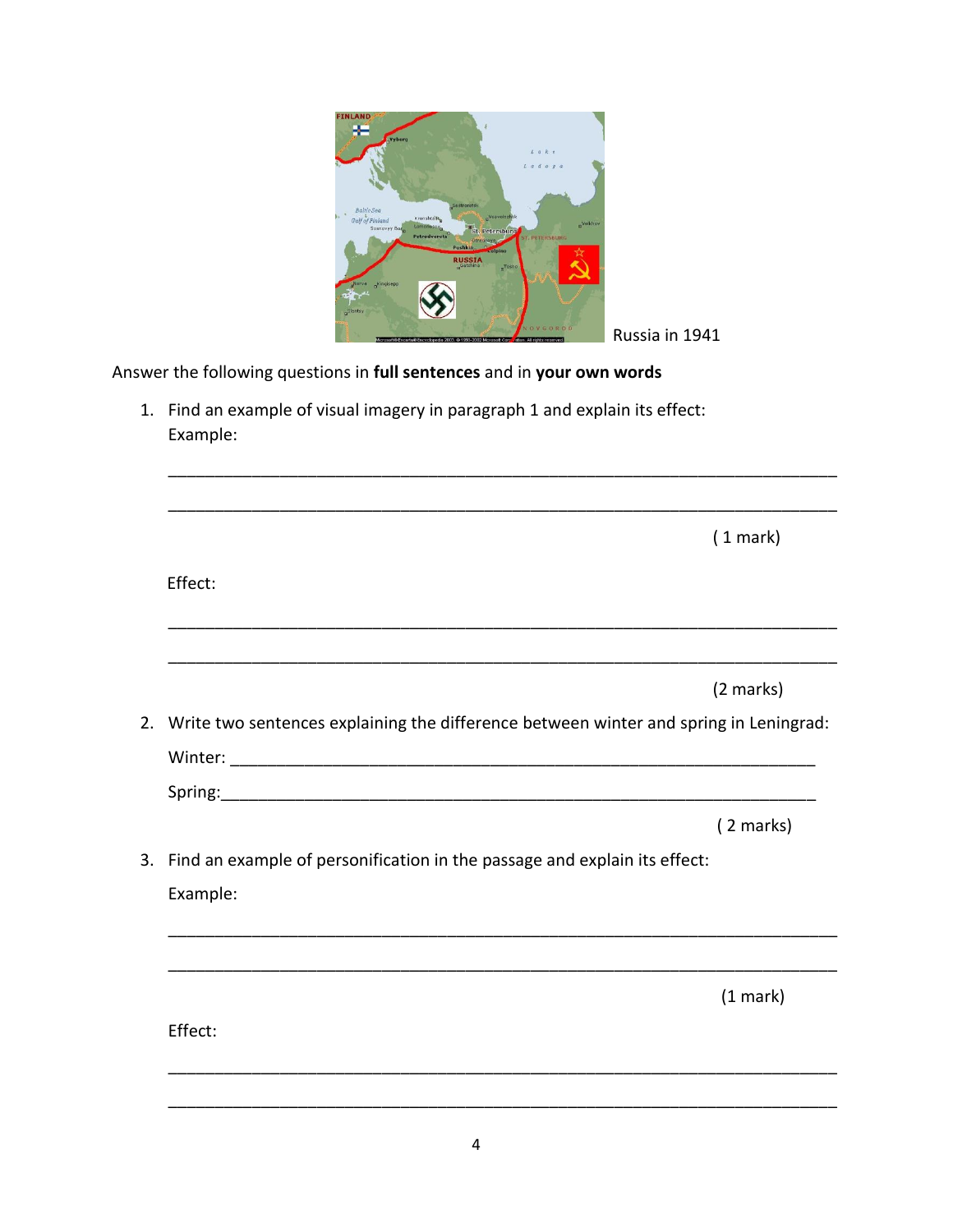

Russia in 1941

Answer the following questions in **full sentences** and in **your own words**

1. Find an example of visual imagery in paragraph 1 and explain its effect: Example:

|    |                                                                                       | (1 mark)  |
|----|---------------------------------------------------------------------------------------|-----------|
|    | Effect:                                                                               |           |
|    |                                                                                       |           |
|    |                                                                                       | (2 marks) |
| 2. | Write two sentences explaining the difference between winter and spring in Leningrad: |           |
|    |                                                                                       |           |
|    |                                                                                       |           |
|    |                                                                                       | (2 marks) |
| 3. | Find an example of personification in the passage and explain its effect:             |           |
|    | Example:                                                                              |           |
|    |                                                                                       | (1 mark)  |
|    | Effect:                                                                               |           |
|    |                                                                                       |           |

\_\_\_\_\_\_\_\_\_\_\_\_\_\_\_\_\_\_\_\_\_\_\_\_\_\_\_\_\_\_\_\_\_\_\_\_\_\_\_\_\_\_\_\_\_\_\_\_\_\_\_\_\_\_\_\_\_\_\_\_\_\_\_\_\_\_\_\_\_\_\_\_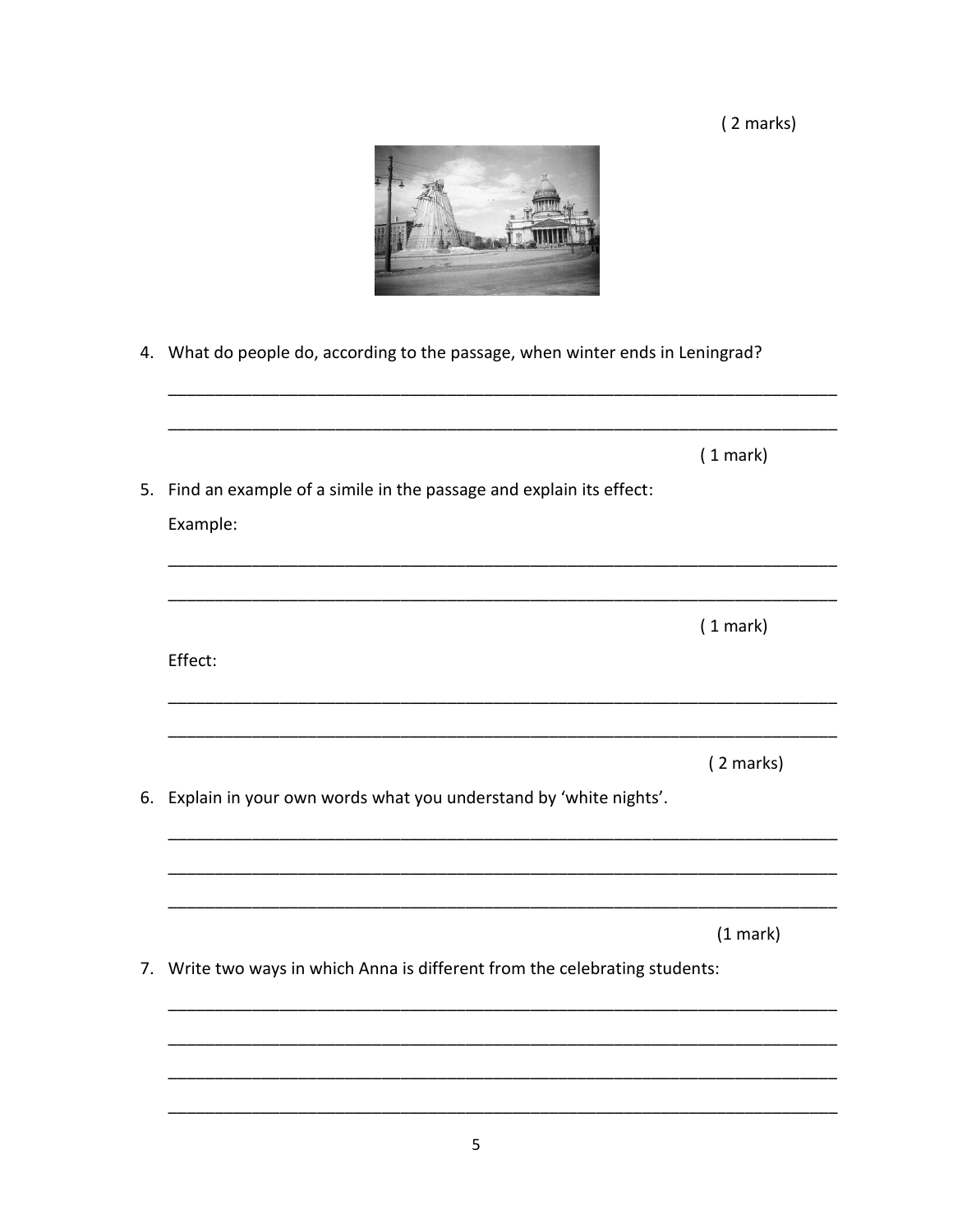# $(2 \text{ marks})$



4. What do people do, according to the passage, when winter ends in Leningrad?

|    |                                                                          | (1 mark)  |
|----|--------------------------------------------------------------------------|-----------|
|    | 5. Find an example of a simile in the passage and explain its effect:    |           |
|    | Example:                                                                 |           |
|    |                                                                          |           |
|    |                                                                          | (1 mark)  |
|    | Effect:                                                                  |           |
|    |                                                                          |           |
|    |                                                                          | (2 marks) |
| 6. | Explain in your own words what you understand by 'white nights'.         |           |
|    |                                                                          |           |
|    |                                                                          |           |
|    |                                                                          | (1 mark)  |
| 7. | Write two ways in which Anna is different from the celebrating students: |           |
|    |                                                                          |           |
|    |                                                                          |           |
|    |                                                                          |           |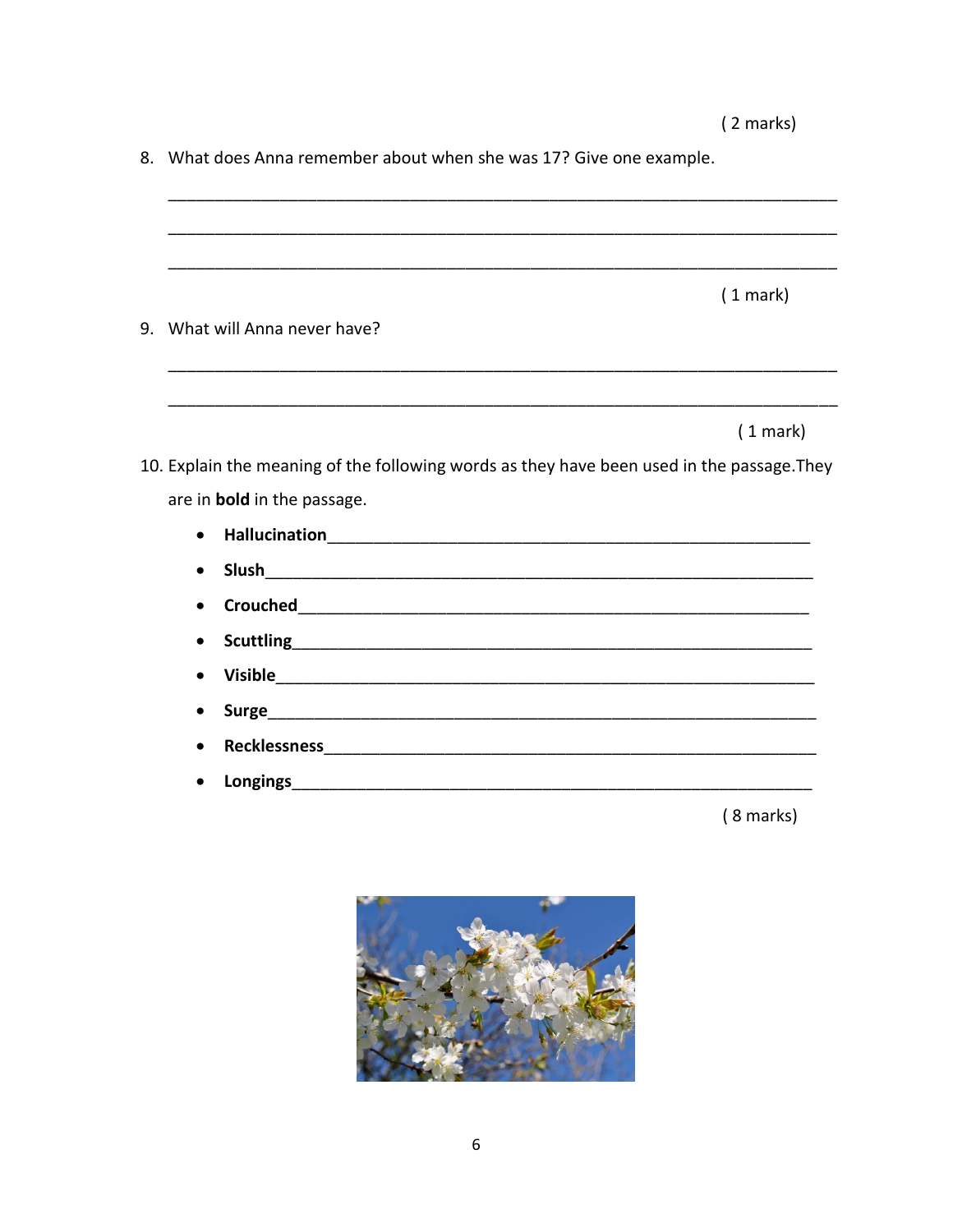(2 marks)

|    | 8. What does Anna remember about when she was 17? Give one example.                        |                                    |  |  |  |  |
|----|--------------------------------------------------------------------------------------------|------------------------------------|--|--|--|--|
|    |                                                                                            |                                    |  |  |  |  |
|    |                                                                                            | (1 mark)                           |  |  |  |  |
| 9. | What will Anna never have?                                                                 |                                    |  |  |  |  |
|    |                                                                                            |                                    |  |  |  |  |
|    |                                                                                            | (1 mark)                           |  |  |  |  |
|    | 10. Explain the meaning of the following words as they have been used in the passage. They |                                    |  |  |  |  |
|    |                                                                                            | are in <b>bold</b> in the passage. |  |  |  |  |
|    | $\bullet$                                                                                  |                                    |  |  |  |  |
|    |                                                                                            |                                    |  |  |  |  |
|    |                                                                                            |                                    |  |  |  |  |
|    |                                                                                            |                                    |  |  |  |  |
|    |                                                                                            |                                    |  |  |  |  |
|    |                                                                                            |                                    |  |  |  |  |
|    |                                                                                            |                                    |  |  |  |  |
|    |                                                                                            |                                    |  |  |  |  |

(8 marks)

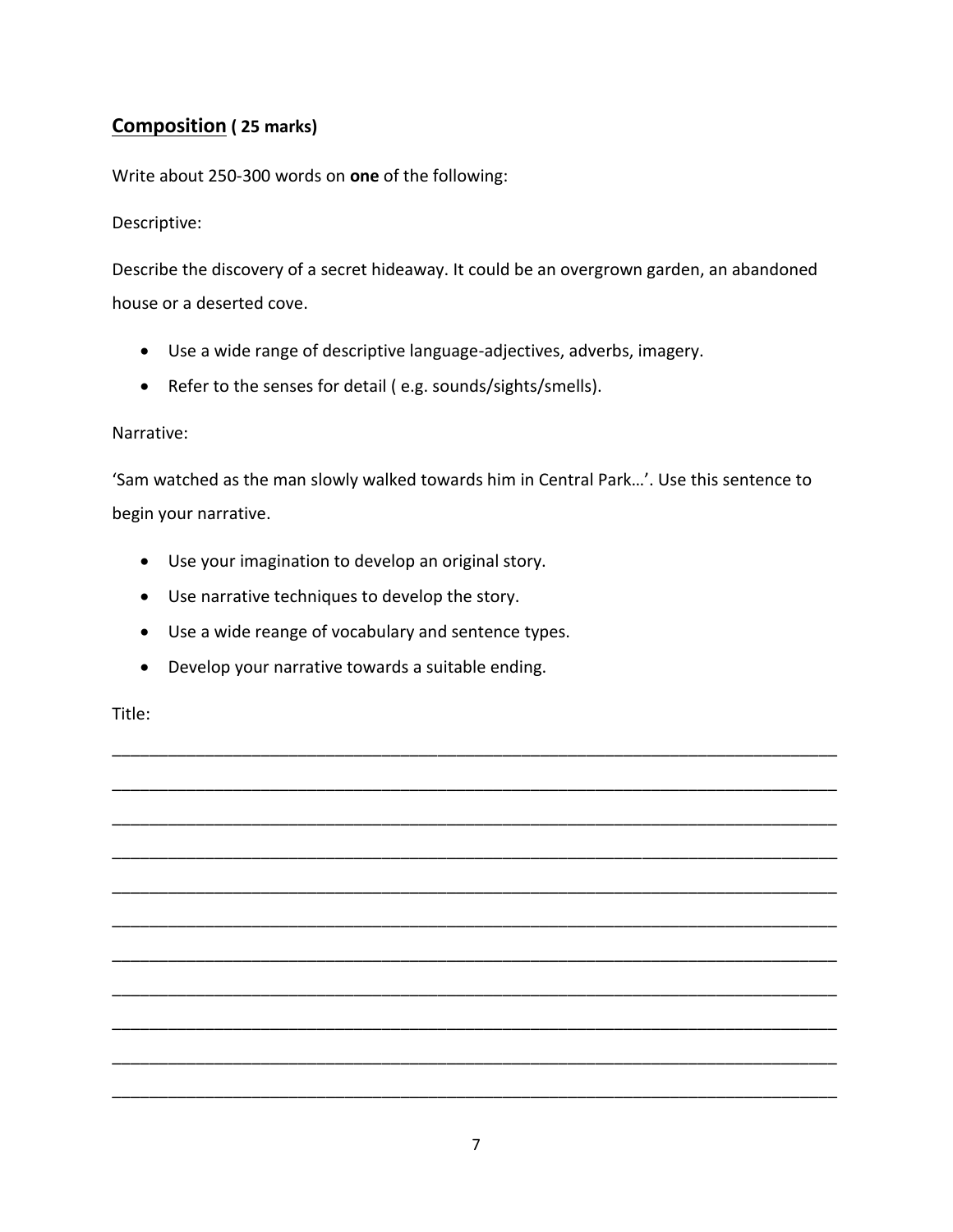### **Composition ( 25 marks)**

Write about 250-300 words on **one** of the following:

#### Descriptive:

Describe the discovery of a secret hideaway. It could be an overgrown garden, an abandoned house or a deserted cove.

- Use a wide range of descriptive language-adjectives, adverbs, imagery.
- Refer to the senses for detail ( e.g. sounds/sights/smells).

#### Narrative:

'Sam watched as the man slowly walked towards him in Central Park…'. Use this sentence to begin your narrative.

\_\_\_\_\_\_\_\_\_\_\_\_\_\_\_\_\_\_\_\_\_\_\_\_\_\_\_\_\_\_\_\_\_\_\_\_\_\_\_\_\_\_\_\_\_\_\_\_\_\_\_\_\_\_\_\_\_\_\_\_\_\_\_\_\_\_\_\_\_\_\_\_\_\_\_\_\_\_

\_\_\_\_\_\_\_\_\_\_\_\_\_\_\_\_\_\_\_\_\_\_\_\_\_\_\_\_\_\_\_\_\_\_\_\_\_\_\_\_\_\_\_\_\_\_\_\_\_\_\_\_\_\_\_\_\_\_\_\_\_\_\_\_\_\_\_\_\_\_\_\_\_\_\_\_\_\_

\_\_\_\_\_\_\_\_\_\_\_\_\_\_\_\_\_\_\_\_\_\_\_\_\_\_\_\_\_\_\_\_\_\_\_\_\_\_\_\_\_\_\_\_\_\_\_\_\_\_\_\_\_\_\_\_\_\_\_\_\_\_\_\_\_\_\_\_\_\_\_\_\_\_\_\_\_\_

\_\_\_\_\_\_\_\_\_\_\_\_\_\_\_\_\_\_\_\_\_\_\_\_\_\_\_\_\_\_\_\_\_\_\_\_\_\_\_\_\_\_\_\_\_\_\_\_\_\_\_\_\_\_\_\_\_\_\_\_\_\_\_\_\_\_\_\_\_\_\_\_\_\_\_\_\_\_

\_\_\_\_\_\_\_\_\_\_\_\_\_\_\_\_\_\_\_\_\_\_\_\_\_\_\_\_\_\_\_\_\_\_\_\_\_\_\_\_\_\_\_\_\_\_\_\_\_\_\_\_\_\_\_\_\_\_\_\_\_\_\_\_\_\_\_\_\_\_\_\_\_\_\_\_\_\_

\_\_\_\_\_\_\_\_\_\_\_\_\_\_\_\_\_\_\_\_\_\_\_\_\_\_\_\_\_\_\_\_\_\_\_\_\_\_\_\_\_\_\_\_\_\_\_\_\_\_\_\_\_\_\_\_\_\_\_\_\_\_\_\_\_\_\_\_\_\_\_\_\_\_\_\_\_\_

\_\_\_\_\_\_\_\_\_\_\_\_\_\_\_\_\_\_\_\_\_\_\_\_\_\_\_\_\_\_\_\_\_\_\_\_\_\_\_\_\_\_\_\_\_\_\_\_\_\_\_\_\_\_\_\_\_\_\_\_\_\_\_\_\_\_\_\_\_\_\_\_\_\_\_\_\_\_

\_\_\_\_\_\_\_\_\_\_\_\_\_\_\_\_\_\_\_\_\_\_\_\_\_\_\_\_\_\_\_\_\_\_\_\_\_\_\_\_\_\_\_\_\_\_\_\_\_\_\_\_\_\_\_\_\_\_\_\_\_\_\_\_\_\_\_\_\_\_\_\_\_\_\_\_\_\_

\_\_\_\_\_\_\_\_\_\_\_\_\_\_\_\_\_\_\_\_\_\_\_\_\_\_\_\_\_\_\_\_\_\_\_\_\_\_\_\_\_\_\_\_\_\_\_\_\_\_\_\_\_\_\_\_\_\_\_\_\_\_\_\_\_\_\_\_\_\_\_\_\_\_\_\_\_\_

\_\_\_\_\_\_\_\_\_\_\_\_\_\_\_\_\_\_\_\_\_\_\_\_\_\_\_\_\_\_\_\_\_\_\_\_\_\_\_\_\_\_\_\_\_\_\_\_\_\_\_\_\_\_\_\_\_\_\_\_\_\_\_\_\_\_\_\_\_\_\_\_\_\_\_\_\_\_

\_\_\_\_\_\_\_\_\_\_\_\_\_\_\_\_\_\_\_\_\_\_\_\_\_\_\_\_\_\_\_\_\_\_\_\_\_\_\_\_\_\_\_\_\_\_\_\_\_\_\_\_\_\_\_\_\_\_\_\_\_\_\_\_\_\_\_\_\_\_\_\_\_\_\_\_\_\_

- Use your imagination to develop an original story.
- Use narrative techniques to develop the story.
- Use a wide reange of vocabulary and sentence types.
- Develop your narrative towards a suitable ending.

Title: